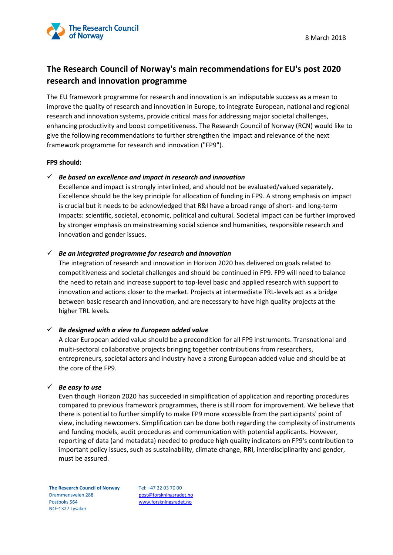



# **The Research Council of Norway's main recommendations for EU's post 2020 research and innovation programme**

The EU framework programme for research and innovation is an indisputable success as a mean to improve the quality of research and innovation in Europe, to integrate European, national and regional research and innovation systems, provide critical mass for addressing major societal challenges, enhancing productivity and boost competitiveness. The Research Council of Norway (RCN) would like to give the following recommendations to further strengthen the impact and relevance of the next framework programme for research and innovation ("FP9").

#### **FP9 should:**

# ✓ *Be based on excellence and impact in research and innovation*

Excellence and impact is strongly interlinked, and should not be evaluated/valued separately. Excellence should be the key principle for allocation of funding in FP9. A strong emphasis on impact is crucial but it needs to be acknowledged that R&I have a broad range of short- and long-term impacts: scientific, societal, economic, political and cultural. Societal impact can be further improved by stronger emphasis on mainstreaming social science and humanities, responsible research and innovation and gender issues.

## ✓ *Be an integrated programme for research and innovation*

The integration of research and innovation in Horizon 2020 has delivered on goals related to competitiveness and societal challenges and should be continued in FP9. FP9 will need to balance the need to retain and increase support to top-level basic and applied research with support to innovation and actions closer to the market. Projects at intermediate TRL-levels act as a bridge between basic research and innovation, and are necessary to have high quality projects at the higher TRL levels.

# ✓ *Be designed with a view to European added value*

A clear European added value should be a precondition for all FP9 instruments. Transnational and multi-sectoral collaborative projects bringing together contributions from researchers, entrepreneurs, societal actors and industry have a strong European added value and should be at the core of the FP9.

#### ✓ *Be easy to use*

Even though Horizon 2020 has succeeded in simplification of application and reporting procedures compared to previous framework programmes, there is still room for improvement. We believe that there is potential to further simplify to make FP9 more accessible from the participants' point of view, including newcomers. Simplification can be done both regarding the complexity of instruments and funding models, audit procedures and communication with potential applicants. However, reporting of data (and metadata) needed to produce high quality indicators on FP9's contribution to important policy issues, such as sustainability, climate change, RRI, interdisciplinarity and gender, must be assured.

**The Research Council of Norway** Drammensveien 288 Postboks 564 NO–1327 Lysaker

Tel: +47 22 03 70 00 [post@forskningsradet.no](mailto:post@forskningsradet.no) [www.forskningsradet.no](http://www.forskningsradet.no/)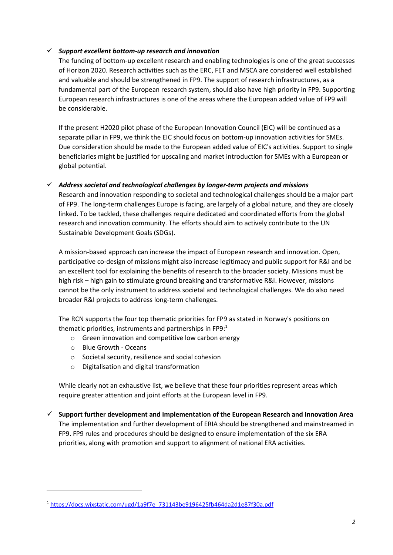# ✓ *Support excellent bottom-up research and innovation*

The funding of bottom-up excellent research and enabling technologies is one of the great successes of Horizon 2020. Research activities such as the ERC, FET and MSCA are considered well established and valuable and should be strengthened in FP9. The support of research infrastructures, as a fundamental part of the European research system, should also have high priority in FP9. Supporting European research infrastructures is one of the areas where the European added value of FP9 will be considerable.

If the present H2020 pilot phase of the European Innovation Council (EIC) will be continued as a separate pillar in FP9, we think the EIC should focus on bottom-up innovation activities for SMEs. Due consideration should be made to the European added value of EIC's activities. Support to single beneficiaries might be justified for upscaling and market introduction for SMEs with a European or global potential.

## ✓ *Address societal and technological challenges by longer-term projects and missions*

Research and innovation responding to societal and technological challenges should be a major part of FP9. The long-term challenges Europe is facing, are largely of a global nature, and they are closely linked. To be tackled, these challenges require dedicated and coordinated efforts from the global research and innovation community. The efforts should aim to actively contribute to the UN Sustainable Development Goals (SDGs).

A mission-based approach can increase the impact of European research and innovation. Open, participative co-design of missions might also increase legitimacy and public support for R&I and be an excellent tool for explaining the benefits of research to the broader society. Missions must be high risk – high gain to stimulate ground breaking and transformative R&I. However, missions cannot be the only instrument to address societal and technological challenges. We do also need broader R&I projects to address long-term challenges.

The RCN supports the four top thematic priorities for FP9 as stated in Norway's positions on thematic priorities, instruments and partnerships in FP9:<sup>1</sup>

- o Green innovation and competitive low carbon energy
- o Blue Growth Oceans

 $\overline{\phantom{a}}$ 

- o Societal security, resilience and social cohesion
- o Digitalisation and digital transformation

While clearly not an exhaustive list, we believe that these four priorities represent areas which require greater attention and joint efforts at the European level in FP9.

✓ **Support further development and implementation of the European Research and Innovation Area** The implementation and further development of ERIA should be strengthened and mainstreamed in FP9. FP9 rules and procedures should be designed to ensure implementation of the six ERA priorities, along with promotion and support to alignment of national ERA activities.

<sup>&</sup>lt;sup>1</sup> [https://docs.wixstatic.com/ugd/1a9f7e\\_731143be9196425fb464da2d1e87f30a.pdf](https://docs.wixstatic.com/ugd/1a9f7e_731143be9196425fb464da2d1e87f30a.pdf)